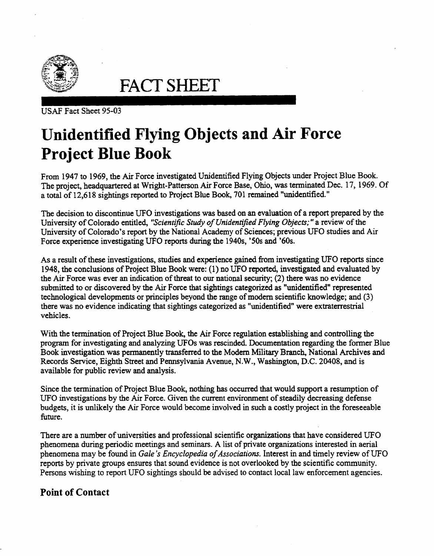

**FACT** SHEET

USAF Fact Sheet 95-03

## **Unidentified Flying Objects and Air Force Project Blue Book**

From 1947 to 1969, the Air Force investigated Unidentified Flying Objects under Project Blue Book. The project, headquartered at Wright-Patterson Air Force Base, Ohio, was tenninated Dec. 17, 1969. Of a total of 12,618 sightings reported to Project Blue Book, 701 remained "unidentified."

The decision to discontinue UFO investigations was based on an evaluation of a report prepared by the University of Colorado entitled, *"Scientific Study of Unidentified Flying Objects;"* a·review of the University of Colorado's report by the National Academy of Sciences; previous UFO studies and Air Force experience investigating UFO reports during the 1940s, '50s and '60s.

As a result of these investigations, studies and experience gained from investigating UFO reports since 1948, the conclusions of Project Blue Book were: (1) no UFO reported, investigated and evaluated by the Air Force was ever an indication of threat to our national security; (2) there was no evidence submitted to or discovered by the Air Force that sightings categorized as "unidentified" represented technological developments or principles beyond the range of modem scientific knowledge; and (3) there was no evidence indicating that sightings categorized as "unidentified" were extraterrestrial vehicles.

With the termination of Project Blue Book, the Air Force regulation establishing and controlling the program for investigating and analyzing UFOs was rescinded. Documentation regarding the former Blue Book investigation was pennanently transferred to the Modern Military Branch, National Archives and Records Service, Eighth Street and Pennsylvania Avenue, N.W., Washington, D.C. 20408, and is available for public review and analysis.

Since the termination of Project Blue Book, nothing has occurred that would support a resumption of UFO investigations by the Air Force. Given the current environment of steadily decreasing defense budgets, it is unlikely the Air Force would become involved in such a costly project in the foreseeable future.

There are a number of universities and professional scientific organizations that have considered UFO phenomena during periodic meetings and seminars. A list of private organizations interested in aerial phenomena may be found in *Gale's Encyclopedia of Associations.* Interest in and timely review of UFO reports by private groups ensures that sound evidence is not overlooked by the scientific community. Persons wishing to report UFO sightings should be advised to contact local law enforcement agencies.

## **Point of Contact**